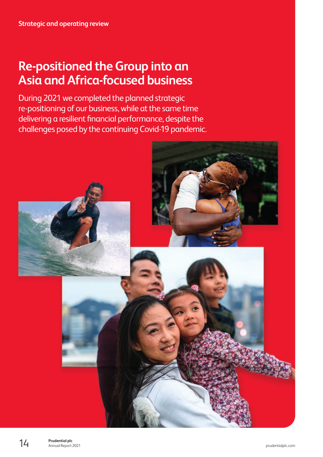# **Re-positioned the Group into an Asia and Africa-focused business**

During 2021 we completed the planned strategic re-positioning of our business, while at the same time delivering a resilient financial performance, despite the challenges posed by the continuing Covid-19 pandemic.

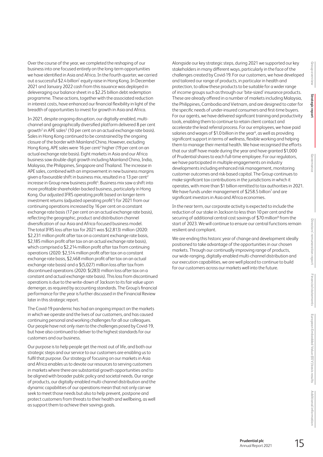Over the course of the year, we completed the reshaping of our business into one focused entirely on the long-term opportunities we have identified in Asia and Africa. In the fourth quarter, we carried out a successful \$2.4 billion<sup>1</sup> equity raise in Hong Kong. In December 2021 and January 2022 cash from this issuance was deployed in deleveraging our balance sheet in a \$2.25 billion debt redemption programme. These actions, together with the associated reduction in interest costs, have enhanced our financial flexibility in light of the breadth of opportunities to invest for growth in Asia and Africa.

In 2021, despite ongoing disruption, our digitally-enabled, multichannel and geographically diversified platform delivered 8 per cent growth<sup>2</sup> in APE sales<sup>3</sup> (10 per cent on an actual exchange rate basis). Sales in Hong Kong continued to be constrained by the ongoing closure of the border with Mainland China. However, excluding Hong Kong, APE sales were 16 per cent<sup>2</sup> higher (19 per cent on an actual exchange rate basis). Eight markets in Asia and our Africa business saw double-digit growth including Mainland China, India, Malaysia, the Philippines, Singapore and Thailand. The increase in APE sales, combined with an improvement in new business margins given a favourable shift in business mix, resulted in a 13 per cent<sup>2</sup> increase in Group new business profit<sup>4</sup>. Business mix saw a shift into more profitable shareholder-backed business, particularly in Hong Kong. Our adjusted IFRS operating profit based on longer-term investment returns (adjusted operating profit<sup>5</sup>) for 2021 from our continuing operations increased by 16 per cent on a constant exchange rate basis (17 per cent on an actual exchange rate basis), reflecting the geographic, product and distribution channel diversification of our Asia and Africa-focused business model. The total IFRS loss after tax for 2021 was \$(2,813) million (2020: \$2,231 million profit after tax on a constant exchange rate basis, \$2,185 million profit after tax on an actual exchange rate basis), which comprised a \$2,214 million profit after tax from continuing operations (2020: \$2,514 million profit after tax on a constant exchange rate basis, \$2,468 million profit after tax on an actual exchange rate basis) and a \$(5,027) million loss after tax from discontinued operations (2020: \$(283) million loss after tax on a constant and actual exchange rate basis). This loss from discontinued operations is due to the write-down of Jackson to its fair value upon demerger, as required by accounting standards. The Group's financial performance for the year is further discussed in the Financial Review later in this strategic report.

The Covid-19 pandemic has had an ongoing impact on the markets in which we operate and the lives of our customers, and has caused continuing personal and working challenges for all our colleagues. Our people have not only risen to the challenges posed by Covid-19, but have also continued to deliver to the highest standards for our customers and our business.

Our purpose is to help people get the most out of life, and both our strategic steps and our service to our customers are enabling us to fulfil that purpose. Our strategy of focusing on our markets in Asia and Africa enables us to devote our resources to serving customers in markets where there are substantial growth opportunities and to be aligned with broader public policy and societal needs. Our range of products, our digitally-enabled multi-channel distribution and the dynamic capabilities of our operations mean that not only can we seek to meet those needs but also to help prevent, postpone and protect customers from threats to their health and wellbeing, as well as support them to achieve their savings goals.

Alongside our key strategic steps, during 2021 we supported our key stakeholders in many different ways, particularly in the face of the challenges created by Covid-19. For our customers, we have developed and tailored our range of products, in particular in health and protection, to allow these products to be suitable for a wider range of income groups such as through our 'bite-sized' insurance products. These are already offered in a number of markets including Malaysia, the Philippines, Cambodia and Vietnam, and are designed to cater for the specific needs of under-insured consumers and first-time buyers. For our agents, we have delivered significant training and productivity tools, enabling them to continue to retain client contact and accelerate the lead referral process. For our employees, we have paid salaries and wages of \$1.0 billion in the year<sup>6</sup>, as well as providing significant support in terms of wellness, flexible working and helping them to manage their mental health. We have recognised the efforts that our staff have made during the year and have granted \$1,000 of Prudential shares to each full-time employee. For our regulators, we have participated in multiple engagements on industry developments including enhanced risk management, monitoring customer outcomes and risk-based capital. The Group continues to make significant tax contributions in the jurisdictions in which it operates, with more than \$1 billion remitted to tax authorities in 2021. We have funds under management of \$258.5 billion<sup>7</sup> and are significant investors in Asia and Africa economies.

In the near term, our corporate activity is expected to include the reduction of our stake in Jackson to less than 10 per cent and the securing of additional central cost savings of \$70 million<sup>8</sup> from the start of 2023. We will continue to ensure our central functions remain resilient and compliant.

We are ending this historic year of change and development ideally positioned to take advantage of the opportunities in our chosen markets. Through our continually improving range of products, our wide-ranging, digitally-enabled multi-channel distribution and our execution capabilities, we are well placed to continue to build for our customers across our markets well into the future.

**Strategic report**

Strategic repor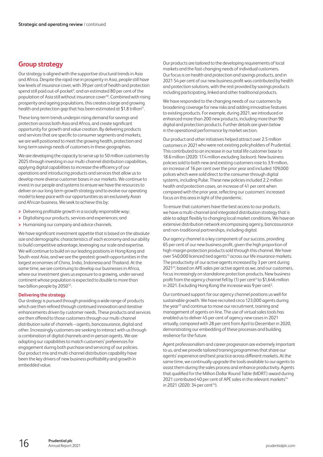## **Group strategy**

Our strategy is aligned with the supportive structural trends in Asia and Africa. Despite the rapid rise in prosperity in Asia, people still have low levels of insurance cover, with 39 per cent of health and protection spend still paid out-of-pocket<sup>9</sup>, and an estimated 80 per cent of the population of Asia still without insurance cover<sup>10</sup>. Combined with rising prosperity and ageing populations, this creates a large and growing health and protection gap that has been estimated at \$1.8 trillion<sup>11</sup>.

These long-term trends underpin rising demand for savings and protection across both Asia and Africa, and create significant opportunity for growth and value creation. By delivering products and services that are specific to consumer segments and markets, we are well positioned to meet the growing health, protection and long-term savings needs of customers in these geographies.

We are developing the capacity to serve up to 50 million customers by 2025 through investing in our multi-channel distribution capabilities, applying digital capabilities to increase the efficiency of our operations and introducing products and services that allow us to develop more diverse customer bases in our markets. We continue to invest in our people and systems to ensure we have the resources to deliver on our long-term growth strategy and to evolve our operating model to keep pace with our opportunities as an exclusively Asian and African business. We seek to achieve this by:

- **>** Delivering profitable growth in a socially responsible way;
- **>** Digitalising our products, services and experiences; and
- **>** Humanising our company and advice channels.

We have significant investment appetite that is based on the absolute size and demographic characteristics of each economy and our ability to build competitive advantage, leveraging our scale and expertise. We will continue to build on our leading positions in Hong Kong and South-east Asia, and we see the greatest growth opportunities in the largest economies of China, India, Indonesia and Thailand. At the same time, we are continuing to develop our businesses in Africa, where our investment gives us exposure to a growing, under-served continent whose population is expected to double to more than two billion people by 2050<sup>12</sup>.

#### **Delivering the strategy**

Our strategy is pursued through providing a wide range of products which are then refined through continued innovation and iterative enhancements driven by customer needs. These products and services are then offered to those customers through our multi-channel distribution suite of channels – agents, bancassurance, digital and other. Increasingly customers are seeking to interact with us through a combination of digital channels and in-person agents. We are adapting our capabilities to match customers' preferences for engagement during both purchase and servicing of our policies. Our product mix and multi-channel distribution capability have been the key drivers of new business profitability and growth in embedded value.

Our products are tailored to the developing requirements of local markets and the fast-changing needs of individual customers. Ourfocus is on health and protection and savings products, and in 2021 54 per cent of our new business profit was contributed by health and protection solutions, with the rest provided by savings products including participating, linked and other traditional products.

We have responded to the changing needs of our customers by broadening coverage for new risks and adding innovative features to existing products. For example, during 2021, we introduced or enhanced more than 200 new products, including more than 90 digital and protection products. Further details are given below in the operational performance by market section.

Our product and other initiatives helped attract over 2.5 million customers in 2021who were not existing policyholders of Prudential. This contributed to an increase in our total life customer base to 18.6 million (2020: 17.4 million excluding Jackson). New business policies sold to both new and existing customers rose to 3.9 million, an increase of 16 per cent over the prior year and included 109,000 polices which were sold direct to the consumer through digital systems, including Pulse. These new policies included 2.2 million health and protection cases, an increase of 41 per cent when compared with the prior year, reflecting our customers' increased focus on this area in light of the pandemic.

To ensure that customers have the best access to our products, we have a multi-channel and integrated distribution strategy that is able to adapt flexibly to changing local market conditions. We have an extensive distribution network encompassing agency, bancassurance and non-traditional partnerships, including digital.

Our agency channel is a key component of our success, providing 65 per cent of our new business profit, given the high proportion of high-margin protection products sold through this channel. We have over 540,000 licenced tied agents<sup>13</sup> across our life insurance markets. The productivity of our active agents increased by 3 per cent during 202113, based on APE sales per active agent as we, and our customers, focus increasingly on standalone protection products. New business profit from the agency channel fell by (1) per cent<sup>2</sup> to \$1,646 million in 2021. Excluding Hong Kong the increase was 9 per cent<sup>2</sup>. .

Our continued support for our agency channel positions us well for sustainable growth. We have recruited circa 123,000 agents during the year<sup>13</sup> and continue to move our recruitment, training and management of agents on-line. The use of virtual sales tools has enabled us to deliver 45 per cent of agency new cases in 2021 virtually, compared with 28 per cent from April to December in 2020, demonstrating our embedding of these processes and building resilience for the future.

Agent professionalism and career progression are extremely important to us, and we provide tailored training programmes that share our agents' experience and best practice across different markets. At the same time, we continually upgrade the tools available to our agents to assist them during the sales process and enhance productivity. Agents that qualified for the Million Dollar Round Table (MDRT) award during 2021 contributed 40 per cent of APE sales in the relevant markets<sup>14</sup> in 2021 (2020: 34 per cent<sup>14</sup>).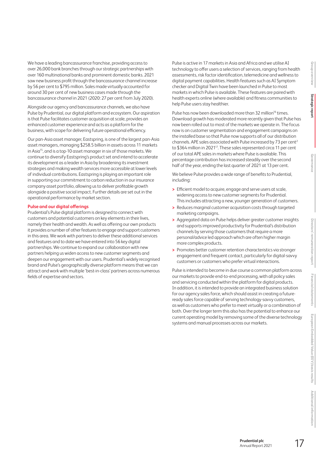Financial statements **Financial statements** European Embedded Value (EEV) basis results **European Embedded Value (EEV) basis results**

We have a leading bancassurance franchise, providing access to over 26,000 bank branches through our strategic partnerships with over 160 multinational banks and prominent domestic banks. 2021 saw new business profit through the bancassurance channel increase by 56 per cent to \$795 million. Sales made virtually accounted for around 30 per cent of new business cases made through the bancassurance channel in 2021 (2020: 27 per cent from July 2020).

Alongside our agency and bancassurance channels, we also have Pulse by Prudential, our digital platform and ecosystem. Our aspiration is that Pulse facilitates customer acquisition at scale, provides an enhanced customer experience and acts as a platform for the business, with scope for delivering future operational efficiency.

Our pan-Asia asset manager, Eastspring, is one of the largest pan-Asia asset managers, managing \$258.5 billion in assets across 11 markets in Asia15, and is a top-10 asset manager in six of those markets. We continue to diversify Eastspring's product set and intend to accelerate its development as a leader in Asia by broadening its investment strategies and making wealth services more accessible at lower levels of individual contributions. Eastspring is playing an important role in supporting our commitment to carbon reduction in our insurance company asset portfolio, allowing us to deliver profitable growth alongside a positive social impact. Further details are set out in the operational performance by market section.

#### **Pulse and our digital offerings**

Prudential's Pulse digital platform is designed to connect with customers and potential customers on key elements in their lives, namely their health and wealth. As well as offering our own products it provides a number of other features to engage and support customers in this area. We work with partners to deliver these additional services and features and to date we have entered into 56 key digital partnerships. We continue to expand our collaboration with new partners helping us widen access to new customer segments and deepen our engagement with our users. Prudential's widely recognised brand and Pulse's geographically diverse platform means that we can attract and work with multiple 'best-in-class' partners across numerous fields of expertise and sectors.

Pulse is active in 17 markets in Asia and Africa and we utilise AI technology to offer users a selection of services, ranging from health assessments, risk factor identification, telemedicine and wellness to digital payment capabilities. Health features such as AI Symptom checker and Digital Twin have been launched in Pulse to most marketsin which Pulse is available. These features are paired with health experts online (where available) and fitness communities to help Pulse users stay healthier.

Pulse has now been downloaded more than 32 million<sup>16</sup> times. Download growth has moderated more recently given that Pulse has now been rolled out to most of the markets we operate in. The focus now is on customer segmentation and engagement campaigns on the installed base so that Pulse now supports all of our distribution channels. APE sales associated with Pulse increased by 73 per cent<sup>2</sup> to \$364 million in 202117. These sales represented circa 11 per cent of our total APE sales in markets where Pulse is available. This percentage contribution has increased steadily over the second half of the year, ending the last quarter of 2021 at 13 per cent.

We believe Pulse provides a wide range of benefits to Prudential, including:

- **>** Efficient model to acquire, engage and serve users at scale, widening access to new customer segments for Prudential. This includes attracting a new, younger generation of customers.
- **>** Reduces marginal customer acquisition costs through targeted marketing campaigns.
- **>** Aggregated data on Pulse helps deliver greater customer insights and supports improved productivity for Prudential's distribution channels by serving those customers that require a more personal/advice led approach which are often higher margin more complex products.
- **>** Promotes better customer retention characteristics via stronger engagement and frequent contact, particularly for digital-savvy customers or customers who prefer virtual interactions.

Pulse is intended to become in due course a common platform across our markets to provide end-to-end processing, with all policy sales and servicing conducted within the platform for digital products. In addition, it is intended to provide an integrated business solution for our agency sales force, which should assist in creating a futureready sales force capable of serving technology-savvy customers, as well as customers who prefer to meet virtually or a combination of both. Over the longer term this also has the potential to enhance our current operating model by removing some of the diverse technology systems and manual processes across our markets.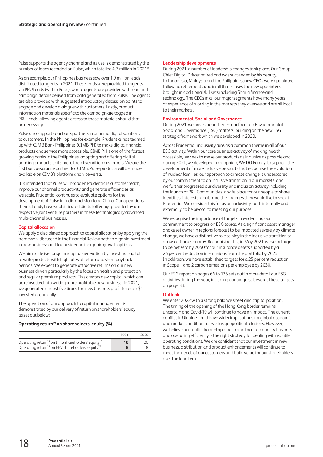Pulse supports the agency channel and its use is demonstrated by the number of leads recorded on Pulse, which totalled 4.3 million in 202118.

As an example, our Philippines business saw over 1.9 million leads distributed to agents in 2021. These leads were provided to agents via PRULeads (within Pulse), where agents are provided with lead and campaign details derived from data generated from Pulse. The agents are also provided with suggested introductory discussion points to engage and develop dialogue with customers. Lastly, product information materials specific to the campaign are tagged in PRULeads, allowing agents access to those materials should that be necessary.

Pulse also supports our bank partners in bringing digital solutions to customers. In the Philippines for example, Prudential has teamed up with CIMB Bank Philippines (CIMB PH) to make digital financial products and service more accessible. CIMB PH is one of the fastest growing banks in the Philippines, adopting and offering digital banking products to its more than five million customers. We are the first bancassurance partner for CIMB. Pulse products will be made available on CIMB's platform and vice-versa.

It is intended that Pulse will broaden Prudential's customer reach, improve our channel productivity and generate efficiencies as we scale. Prudential continues to evaluate options for the development of Pulse in India and Mainland China. Our operations there already have sophisticated digital offerings provided by our respective joint venture partners in these technologically advanced multi-channel businesses.

#### **Capital allocation**

We apply a disciplined approach to capital allocation by applying the framework discussed in the Financial Review both to organic investment in new business and to considering inorganic growth options.

We aim to deliver ongoing capital generation by investing capital to write products with high rates of return and short payback periods. We expect to generate attractive returns on our new business driven particularly by the focus on health and protection and regular premium products. This creates new capital, which can be reinvested into writing more profitable new business. In 2021, we generated almost five times the new business profit for each \$1 invested organically.

The operation of our approach to capital management is demonstrated by our delivery of return on shareholders' equity as set out below:

### **Operating return19 on shareholders' equity (%)**

|                                                                           | 2021 | 2020 |
|---------------------------------------------------------------------------|------|------|
| Operating return <sup>19</sup> on IFRS shareholders' equity <sup>20</sup> | 18   | 20   |
| Operating return <sup>19</sup> on EEV shareholders' equity <sup>20</sup>  |      |      |

#### **Leadership developments**

During 2021, a number of leadership changes took place. Our Group Chief Digital Officer retired and was succeeded by his deputy. In Indonesia, Malaysia and the Philippines, new CEOs were appointed following retirements and in all three cases the new appointees brought in additional skill sets including Sharia finance and technology. The CEOs in all our major segments have many years of experience of working in the markets they oversee and are all local to their markets.

#### **Environmental, Social and Governance**

During 2021, we have strengthened our focus on Environmental, Social and Governance (ESG) matters, building on the new ESG strategic framework which we developed in 2020.

Across Prudential, inclusivity runs as a common theme in all of our ESG activity. Within our core business activity of making health accessible, we seek to make our products as inclusive as possible and during 2021, we developed a campaign, We DO Family, to support the development of more inclusive products that recognise the evolution of nuclear families; our approach to climate change is underscored by our commitment to an inclusive transition in our markets; and, we further progressed our diversity and inclusion activity including the launch of PRUCommunities, a safe place for our people to share identities, interests, goals, and the changes they would like to see at Prudential. We consider this focus on inclusivity, both internally and externally, to be pivotal to meeting our purpose.

We recognise the importance of targets in evidencing our commitment to progress on ESG topics. As a significant asset manager and asset owner in regions forecast to be impacted severely by climate change, we have a distinctive role to play in the inclusive transition to a low-carbon economy. Recognising this, in May 2021, we set a target to be net zero by 2050 for our insurance assets supported by a 25 per cent reduction in emissions from the portfolio by 2025. In addition, we have established targets for a 25 per cent reduction in Scope 1 and 2 carbon emissions per employee by 2030.

Our ESG report on pages 66 to 136 sets out in more detail our ESG activities during the year, including our progress towards these targets on page 83.

#### **Outlook**

We enter 2022 with a strong balance sheet and capital position. The timing of the opening of the Hong Kong border remains uncertain and Covid-19 will continue to have an impact. The current conflict in Ukraine could have wider implications for global economic and market conditions as well as geopolitical relations. However, we believe our multi-channel approach and focus on quality business and operating efficiency is the right strategy for dealing with volatile operating conditions. We are confident that our investment in new business, distribution and product enhancements will continue to meet the needs of our customers and build value for our shareholders over the long term.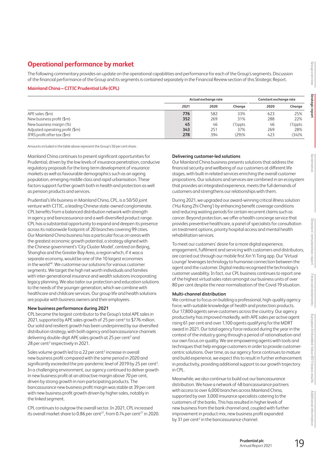The following commentary provides an update on the operational capabilities and performance for each of the Group's segments. Discussion ofthe financial performance of the Group and its segments is contained separately in the Financial Review section of this Strategic Report.

#### **Mainland China – CITIC Prudential Life (CPL)**

|                                 | Actual exchange rate |      |            | Constant exchange rate |         |
|---------------------------------|----------------------|------|------------|------------------------|---------|
|                                 | 2021                 | 2020 | Change     | 2020                   | Chanae  |
| APE sales (\$m)                 | 776                  | 582  | 33%        | 623                    | 25%     |
| New business profit (\$m)       | 352                  | 269  | 31%        | 288                    | 22%     |
| New business margin (%)         | 45                   | 46   | $(1)$ ppts | 46                     | (1)ppts |
| Adjusted operating profit (\$m) | 343                  | 251  | 37%        | 269                    | 28%     |
| IFRS profit after tax $(\$m)$   | 278                  | 394  | (29)%      | 423                    | (34)%   |

Amounts included in the table above represent the Group's 50 per cent share.

Mainland China continues to present significant opportunities for Prudential, driven by the low levels of insurance penetration, conducive regulatory proposals for the long-term development of insurance markets as well as favourable demographics such as an ageing population, emerging middle class and rapid urbanisation. These factors support further growth both in health and protection as well as pension products and services.

Prudential's life business in Mainland China, CPL, is a 50/50 joint venture with CITIC, a leading Chinese state-owned conglomerate. CPL benefits from a balanced distribution network with strength in agency and bancassurance and a well-diversified product range. CPL has a substantial opportunity to expand and deepen its presence across its nationwide footprint of 20 branches covering 99 cities. Our Mainland China business has a particular focus on areas with the greatest economic growth potential, a strategy aligned with the Chinese government's 'City Cluster Model', centred on Beijing, Shanghai and the Greater Bay Area, a region which, if it was a separate economy, would be one of the 10 largest economies in the world<sup>46</sup>. We customise our solutions for various customer segments. We target the high net worth individuals and families with inter-generational insurance and wealth solutions incorporating legacy planning. We also tailor our protection and education solutions to the needs of the younger generation, which we combine with healthcare and childcare services. Our group life and health solutions are popular with business owners and their employees.

### **New business performance during 2021**

CPL became the largest contributor to the Group's total APE sales in 2021, supported by APE sales growth of 25 per cent<sup>2</sup> to \$776 million. Our solid and resilient growth has been underpinned by our diversified distribution strategy, with both agency and bancassurance channels delivering double-digit APE sales growth at 25 per cent<sup>2</sup> and 28 per cent<sup>2</sup> respectively in 2021.

Sales volume growth led to a 22 per cent<sup>2</sup> increase in overall new business profit compared with the same period in 2020 and significantly exceeded the pre-pandemic level of 2019 by 25 per cent<sup>2</sup>. In a challenging environment, our agency continued to deliver growth in new business profit at an attractive margin above 70 per cent, driven by strong growth in non-participating products. The bancassurance new business profit margin was stable at 39 per cent with new business profit growth driven by higher sales, notably in the linked segment.

CPL continues to outgrow the overall sector. In 2021, CPL increased its overall market share to 0.86 per cent<sup>21</sup>, from 0.74 per cent<sup>21</sup> in 2020.

### **Delivering customer-led solutions**

Our Mainland China business presents solutions that address the financial security and wellbeing of our customers at different life stages, with built-in related services enriching the overall customer propositions. Our solutions and services are combined in an ecosystem that provides an integrated experience, meets the full demands of customers and strengthens our relationships with them.

During 2021, we upgraded our award-winning critical illness solution ('Hui Kang Zhi Cheng') by enhancing benefit coverage conditions and reducing waiting periods for certain recurrent claims such as cancer. Beyond protection, we offer a health concierge service that provides preventive healthcare, a panel of specialists for consultation on treatment options, priority hospital access and mental health rehabilitation services.

To meet our customers' desire for a more digital experience, engagement, fulfilment and servicing with customers and distributors, are carried out through our mobile first Xin Yi Tong app. Our 'Virtual Lounge' leverages technology to humanise connection between the agent and the customer. Digital media recognised the technology's customer useability. In fact, our CPL business continues to report one of the highest virtual sales rates amongst our business units of over 80 per cent despite the near-normalisation of the Covid-19 situation.

### **Multi-channel distribution**

We continue to focus on building a professional, high-quality agency force, with suitable knowledge of health and protection products. Our 17,800 agents serve customers across the country. Our agency productivity has improved markedly, with APE sales per active agent rising 61 per cent and over 1,100 agents qualifying for the MDRT award in 2021. Our total agency force reduced during the year in the context of the industry going through a period of rationalisation and our own focus on quality. We are empowering agents with tools and techniques that help engage customers in order to provide customercentric solutions. Over time, as our agency force continues to mature and build experience, we expect this to result in further enhancement in productivity, providing additional support to our growth trajectory in CPL.

Meanwhile, we also continue to build out our bancassurance distribution. We have a network of 48 bancassurance partners with access to over 6,000 branches across Mainland China, supported by over 3,000 insurance specialists catering to the customers of the banks. This has resulted in higher levels of new business from the bank channel and, coupled with further improvement in product mix, new business profit expanded by 31 per cent<sup>2</sup> in the bancassurance channel.

**Financial statements**

Financial statements

**Group overview**

Group overview

**Strategic report**

**Strategic repo** 

**Governance**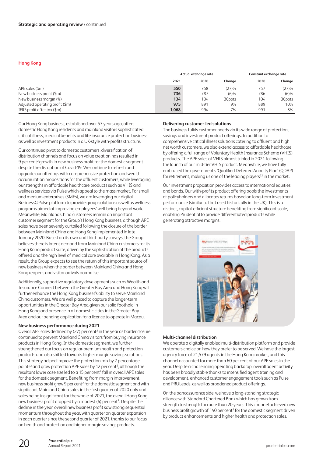#### **Hong Kong**

|                                            | Actual exchange rate |      |         | Constant exchange rate |         |  |
|--------------------------------------------|----------------------|------|---------|------------------------|---------|--|
|                                            | 2021                 | 2020 | Change  | 2020                   | Change  |  |
| APE sales (\$m)                            | 550                  | 758  | (27)%   | 757                    | (27)%   |  |
| New business profit (\$m)                  | 736                  | 787  | $(6)$ % | 786                    | $(6)$ % |  |
| New business margin (%)                    | 134                  | 104  | 30ppts  | 104                    | 30ppts  |  |
| Adjusted operating profit $(\frac{2}{3}m)$ | 975                  | 891  | 9%      | 889                    | 10%     |  |
| IFRS profit after $tax$ (\$m)              | 1.068                | 994  | 7%      | 991                    | 8%      |  |

Our Hong Kong business, established over 57 years ago, offers domestic Hong Kong residents and mainland visitors sophisticated critical illness, medical benefits and life insurance protection business, as well as investment products in a UK-style with-profits structure.

Our continued pivot to domestic customers, diversification of distribution channels and focus on value creation has resulted in 9 per cent<sup>2</sup> growth in new business profit for the domestic segment despite the disruption of Covid-19. We continue to refresh and upgrade our offerings with comprehensive protection and wealth accumulation propositions for the affluent customers, while leveraging our strengths in affordable healthcare products such as VHIS and wellness services via Pulse which appeal to the mass market. For small and medium enterprises (SMEs), we are leveraging our digital Business@Pulse platform to provide group solutions as well as wellness programs aimed at improving employees' well-being beyond work. Meanwhile, Mainland China customers remain an important customer segment for the Group's Hong Kong business, although APE sales have been severely curtailed following the closure of the border between Mainland China and Hong Kong implemented in late January 2020. Based on its own and third-party surveys, the Group believes there is latent demand from Mainland China customers for its Hong Kong product suite, driven by the sophistication of the products offered and the high level of medical care available in Hong Kong. As a result, the Group expects to see the return of this important source of new business when the border between Mainland China and Hong Kong reopens and visitor arrivals normalise.

Additionally, supportive regulatory developments such as Wealth and Insurance Connect between the Greater Bay Area and Hong Kong will further enhance the Hong Kong business's ability to serve Mainland China customers. We are well placed to capture the longer-term opportunities in the Greater Bay Area given our solid foothold in Hong Kong and presence in all domestic cities in the Greater Bay Area and our pending application for a licence to operate in Macau.

#### **New business performance during 2021**

Overall APE sales declined by (27) per cent<sup>2</sup> in the year as border closure continued to prevent Mainland China visitors from buying insurance products in Hong Kong. In the domestic segment, we further strengthened our focus on regular-premium health and protection products and also shifted towards higher margin savings solutions. This strategy helped improve the protection mix by 7 percentage points<sup>2</sup> and grow protection APE sales by 12 per cent<sup>2</sup>, although the resultant lower case size led to a 15 per cent<sup>2</sup> fall in overall APE sales for the domestic segment. Benefiting from margin improvement, new business profit grew 9 per cent<sup>2</sup> for the domestic segment and with significant Mainland China sales in the first quarter of 2020 only and sales being insignificant for the whole of 2021, the overall Hong Kong new business profit dropped by a modest (6) per cent<sup>2</sup>. Despite the decline in the year, overall new business profit saw strong sequential momentum throughout the year, with quarter on quarter expansion in each quarter since the second quarter of 2021, thanks to our focus on health and protection and higher-margin savings products.

#### **Delivering customer-led solutions**

The business fulfils customer needs via its wide range of protection, savings and investment product offerings. In addition to comprehensive critical illness solutions catering to affluent and high net worth customers, we also extend access to affordable healthcare by offering a full range of Voluntary Health Insurance Scheme (VHIS) products. The APE sales of VHIS almost tripled in 2021 following the launch of our mid-tier VHIS product. Meanwhile, we have fully embraced the government's 'Qualified Deferred Annuity Plan' (QDAP) for retirement, making us one of the leading players<sup>22</sup> in the market.

Our investment proposition provides access to international equities and bonds. Our with-profits product offering pools the investments of policyholders and allocates returns based on long-term investment performance (similar to that used historically in the UK). This is a distinct, capital-efficient structure benefiting from significant scale, enabling Prudential to provide differentiated products while generating attractive margins.



#### **Multi-channel distribution**

We operate a digitally enabled multi-distribution platform and provide customers choice on how they prefer to be served. We have the largest agency force of 21,579 agents in the Hong Kong market, and this channel accounted for more than 60 per cent of our APE sales in the year. Despite a challenging operating backdrop, overall agent activity has been broadly stable thanks to intensified agent training and development, enhanced customer engagement tools such as Pulse and PRULeads, as well as broadened product offerings.

On the bancassurance side, we have a long-standing strategic alliance with Standard Chartered Bank which has grown from strength to strength for more than 20 years. This channel achieved new business profit growth of 140 per cent<sup>2</sup> for the domestic segment driven by product enhancements and higher health and protection sales.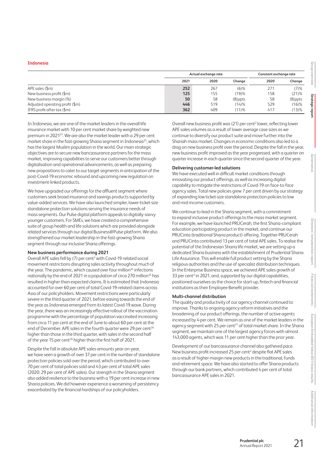#### **Indonesia**

|                                 | Actual exchange rate |      |            | Constant exchange rate |            |  |
|---------------------------------|----------------------|------|------------|------------------------|------------|--|
|                                 | 2021                 | 2020 | Change     | 2020                   | Change     |  |
| APE sales (\$m)                 | 252                  | 267  | $(6)$ %    | 271                    | (7)%       |  |
| New business profit (\$m)       | 125                  | 155  | (19)%      | 158                    | $(21)\%$   |  |
| New business margin (%)         | 50                   | 58   | $(8)$ ppts | 58                     | $(8)$ ppts |  |
| Adjusted operating profit (\$m) | 446                  | 519  | (14)%      | 529                    | $(16)$ %   |  |
| IFRS profit after $tax$ (\$m)   | 362                  | 409  | (11)%      | 417                    | (13)%      |  |

In Indonesia, we are one of the market leaders in the overall life insurance market with 10 per cent market share by weighted new premium in 202123. We are also the market leader with a 29 per cent market share in the fast-growing Sharia segment in Indonesia<sup>23</sup>, which has the largest Muslim population in the world. Our main strategic objectives are to secure new bancassurance partners for the mass market, improving capabilities to serve our customers better through digitalisation and operational advancements, as well as preparing new propositions to cater to our target segments in anticipation of the post-Covid-19 economic rebound and upcoming new regulation on investment-linked products.

We have upgraded our offerings for the affluent segment where customers seek broad insurance and savings products supported by value-added services. We have also launched simpler, lower-ticket-size standalone protection solutions serving the insurance needs of masssegments. Our Pulse digital platform appeals to digitally-savvy younger customers. For SMEs, we have created a comprehensive suite of group health and life solutions which are provided alongside related services through our digital Business@Pulse platform. We also strengthened our market leadership in the fast-growing Sharia segment through our inclusive Sharia offerings.

#### **New business performance during 2021**

Overall APE sales fell by (7) per cent<sup>2</sup> with Covid-19-related social movement restrictions disrupting sales activity throughout much of the year. The pandemic, which caused over four million<sup>24</sup> infections nationally by the end of 2021 in a population of circa 270 million<sup>25</sup> has resulted in higher than expected claims. It is estimated that Indonesia accounted for over 60 per cent of total Covid-19-related claims across Asia of our policyholders. Movement restrictions were particularly severe in the third quarter of 2021, before easing towards the end of the year as Indonesia emerged from its latest Covid-19 wave. During the year, there was an increasingly effective rollout of the vaccination programme with the percentage of population vaccinated increasing from circa 11 per cent at the end of June to about 60 per cent at the end of December. APE sales in the fourth quarter were 29 per cent<sup>26</sup> higher than those in the third quarter, with sales in the second half of the year 15 per cent<sup>26</sup> higher than the first half of 2021.

Despite the fall in absolute APE sales amounts year-on-year, we have seen a growth of over 37 per cent in the number of standalone protection policies sold over the period, which contributed to over 70 per cent of total policies sold and 43 per cent of total APE sales (2020: 29 per cent of APE sales). Our strength in the Sharia segment also added resilience to the business with a 19 per cent increase in new Sharia policies. We did however experience a worsening of persistency exacerbated by the financial hardships of our policyholders.

Overall new business profit was (21) per cent<sup>2</sup> lower, reflecting lower APE sales volumes as a result of lower average case sizes as we continue to diversify our product suite and move further into the Shariah mass market. Changes in economic conditions also led to a drag on new business profit over the period. Despite the fall in the year, new business profit improved as the year progressed, with a quarter on quarter increase in each quarter since the second quarter of the year.

#### **Delivering customer-led solutions**

We have executed well in difficult market conditions through innovating our product offerings, as well as increasing digital capability to mitigate the restrictions of Covid-19 on face-to-face agency sales. Total new policies grew 7 per cent driven by our strategy of expanding low ticket-size standalone protection policies to low and mid-income customers.

We continue to lead in the Sharia segment, with a commitment to expand inclusive product offerings to the mass market segment. For example, we have launched PRUCerah, the first Sharia-compliant education participating product in the market, and continue our PRUCinta (traditional Sharia product) offering. Together PRUCerah and PRUCinta contributed 13 per cent of total APE sales. To realise the potential of the Indonesian Sharia life market, we are setting up a dedicated Sharia business with the establishment of Prudential Sharia Life Assurance. This will enable full product vetting by the Sharia religious authorities and the use of specialist distribution techniques. In the Enterprise Business space, we achieved APE sales growth of 33 per cent<sup>2</sup> in 2021, and, supported by our digital capabilities, positioned ourselves as the choice for start-up, fintech and financial institutions as their Employee Benefit provider.

### **Multi-channel distribution**

The quality and productivity of our agency channel continued to improve. Thanks to ongoing agency reform initiatives and the broadening of our product offerings, the number of active agents increased by 4 per cent. We remain as one of the market leaders in the agency segment with 25 per cent<sup>27</sup> of total market share. In the Sharia segment, we maintain one of the largest agency forces with almost 143,000 agents, which was 11 per cent higher than the prior year.

Development of our bancassurance channel also gathered pace. New business profit increased 25 per cent<sup>2</sup> despite flat APE sales as a result of higher-margin new products in the traditional, funds and retirement space. We have also started to offer Sharia products through our bank partners, which contributed 4 per cent of total bancassurance APE sales in 2021.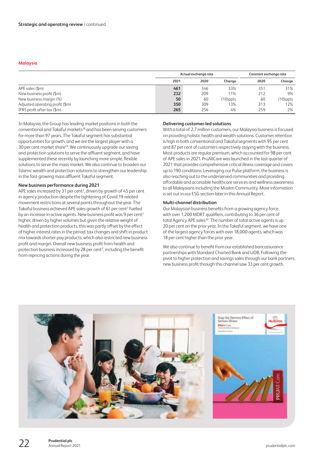#### **Malaysia**

|                                 | Actual exchange rate |      |             | Constant exchange rate |          |  |
|---------------------------------|----------------------|------|-------------|------------------------|----------|--|
|                                 | 2021                 | 2020 | Change      | 2020                   | Change   |  |
| APE sales (\$m)                 | 461                  | 346  | 33%         | 351                    | 31%      |  |
| New business profit (\$m)       | 232                  | 209  | 11%         | 212                    | 9%       |  |
| New business margin (%)         | 50                   | 60   | $(10)$ ppts | 60                     | (10)ppts |  |
| Adjusted operating profit (\$m) | 350                  | 309  | 13%         | 313                    | 12%      |  |
| IFRS profit after tax $(\$m)$   | 265                  | 256  | 4%          | 259                    | 2%       |  |

In Malaysia, the Group has leading market positions in both the conventional and Takaful markets28 and has been serving customers for more than 97 years. The Takaful segment has substantial opportunities for growth, and we are the largest player with a 30 per cent market share<sup>29</sup>. We continuously upgrade our saving and protection solutions to serve the affluent segment, and have supplemented these recently by launching more simple, flexible solutions to serve the mass market. We also continue to broaden our Islamic wealth and protection solutions to strengthen our leadership in the fast-growing mass affluent Takaful segment.

#### **New business performance during 2021**

APE sales increased by 31 per cent<sup>2</sup>, driven by growth of 45 per cent in agency production despite the tightening of Covid-19-related movement restrictions at several points throughout the year. The Takaful business achieved APE sales growth of 61 per cent<sup>2</sup> fuelled by an increase in active agents. New business profit was 9 per cent<sup>2</sup> higher, driven by higher volumes but given the relative weight of health and protection products, this was partly offset by the effect of higher interest rates in the period, tax changes and shift in product mix towards shorter-pay products, which also restricted new business profit and margin. Overall new business profit from health and protection business increased by 28 per cent<sup>2</sup>, including the benefit from repricing actions during the year.

#### **Delivering customer-led solutions**

With a total of 2.7 million customers, our Malaysia business is focused on providing holistic health and wealth solutions. Customer retention is high in both conventional and Takaful segments with 95 per cent and 87 per cent of customers respectively staying with the business. Most products are regular premium, which accounted for 98 per cent of APE sales in 2021. PruAllCare was launched in the last quarter of 2021 that provides comprehensive critical illness coverage and covers up to 190 conditions. Leveraging our Pulse platform, the business is also reaching out to the underserved communities and providing affordable and accessible healthcare services and wellness awareness to all Malaysians including the Muslim Community. More information is set out in our ESG section later in this Annual Report.

#### **Multi-channel distribution**

Our Malaysian business benefits from a growing agency force, with over 1,200 MDRT qualifiers, contributing to 36 per cent of total Agency APE sales<sup>30</sup>. The number of total active agents is up 20 per cent on the prior year. In the Takaful segment, we have one of the largest agency forces with over 18,000 agents, which was 18 per cent higher than the prior year.

We also continue to benefit from our established bancassurance partnerships with Standard Charted Bank and UOB. Following the pivot to higher protection and savings sales through our bank partners, new business profit through this channel saw 33 per cent growth.

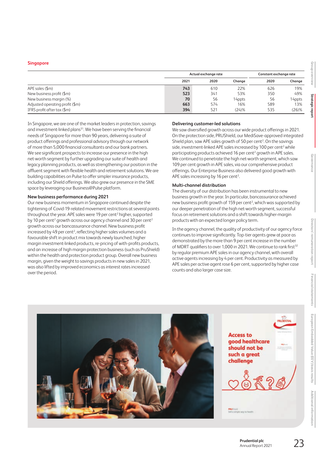#### **Singapore**

|                                 | Actual exchange rate |      |        | Constant exchange rate |        |  |
|---------------------------------|----------------------|------|--------|------------------------|--------|--|
|                                 | 2021                 | 2020 | Change | 2020                   | Change |  |
| APE sales (\$m)                 | 743                  | 610  | 22%    | 626                    | 19%    |  |
| New business profit (\$m)       | 523                  | 341  | 53%    | 350                    | 49%    |  |
| New business margin (%)         | 70                   | 56   | 14ppts | 56                     | 14ppts |  |
| Adjusted operating profit (\$m) | 663                  | 574  | 16%    | 589                    | 13%    |  |
| IFRS profit after $tax$ (\$m)   | 394                  | 521  | (24)%  | 535                    | (26)%  |  |

In Singapore, we are one of the market leaders in protection, savings and investment-linked plans<sup>31</sup>. We have been serving the financial needs of Singapore for more than 90 years, delivering a suite of product offerings and professional advisory through our network of more than 5,000 financial consultants and our bank partners. We see significant prospects to increase our presence in the high net-worth segment by further upgrading our suite of health and legacy planning products, as well as strengthening our position in the affluent segment with flexible health and retirement solutions. We are building capabilities on Pulse to offer simpler insurance products, including our Shield offerings. We also grew our presence in the SME space by leveraging our Business@Pulse platform.

#### **New business performance during 2021**

Our new business momentum in Singapore continued despite the tightening of Covid-19-related movement restrictions at several points throughout the year. APE sales were 19 per cent<sup>2</sup> higher, supported by 10 per cent<sup>2</sup> growth across our agency channel and 30 per cent<sup>2</sup> growth across our bancassurance channel. New business profit increased by 49 per cent<sup>2</sup>, reflecting higher sales volumes and a favourable shift in product mix towards newly launched, higher margin investment-linked products, re-pricing of with-profits products, and an increase of high margin protection business (such as PruShield) within the health and protection product group. Overall new business margin, given the weight to savings products in new sales in 2021, was also lifted by improved economics as interest rates increased over the period.

#### **Delivering customer-led solutions**

We saw diversified growth across our wide product offerings in 2021. On the protection side, PRUShield, our MediSave-approved integrated Shield plan, saw APE sales growth of 50 per cent<sup>2</sup>. On the savings side, investment-linked APE sales increased by 100 per cent<sup>2</sup> while participating products achieved 16 per cent<sup>2</sup> growth in APE sales. We continued to penetrate the high net-worth segment, which saw 109 per cent growth in APE sales, via our comprehensive product offerings. Our Enterprise Business also delivered good growth with APE sales increasing by 16 per cent<sup>2</sup>. .

#### **Multi-channel distribution**

The diversity of our distribution has been instrumental to new business growth in the year. In particular, bancassurance achieved new business profit growth of 159 per cent<sup>2</sup>, which was supported by our deeper penetration of the high net-worth segment, successful focus on retirement solutions and a shift towards higher-margin products with an expected longer policy term.

In the agency channel, the quality of productivity of our agency force continues to improve significantly. Top-tier agents grew at pace as demonstrated by the more than 9 per cent increase in the number of MDRT qualifiers to over 1,000 in 2021. We continue to rank first<sup>32</sup> by regular premium APE sales in our agency channel, with overall active agents increasing by 4 per cent. Productivity as measured by APE sales per active agent rose 6 per cent, supported by higher case counts and also larger case size.



**Directors' remuneration report**

Directors' remuneration report

**Group overview**

Group overview

**Strategic report**

Strategic repor

**Governance**

G)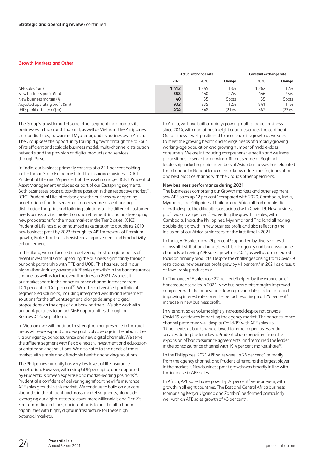### **Growth Markets and Other**

|                                 | Actual exchange rate |       |        | Constant exchange rate |        |
|---------------------------------|----------------------|-------|--------|------------------------|--------|
|                                 | 2021                 | 2020  | Change | 2020                   | Change |
| APE sales (\$m)                 | 1,412                | 1.245 | 13%    | 1,262                  | 12%    |
| New business profit (\$m)       | 558                  | 440   | 27%    | 446                    | 25%    |
| New business margin (%)         | 40                   | 35    | 5ppts  | 35                     | 5ppts  |
| Adjusted operating profit (\$m) | 932                  | 835   | 12%    | 841                    | 11%    |
| IFRS profit after tax $(\$m)$   | 434                  | 548   | (21)%  | 562                    | (23)%  |

The Group's growth markets and other segment incorporates its businesses in India and Thailand, as well as Vietnam, the Philippines, Cambodia, Laos, Taiwan and Myanmar, and its businesses in Africa. The Group sees the opportunity for rapid growth through the roll-out of its efficient and scalable business model, multi-channel distribution networks and the provision of digital products and services through Pulse.

In India, our business primarily consists of a 22.1 per cent holding in the Indian Stock Exchange listed life insurance business, ICICI Prudential Life, and 49 per cent of the asset manager, ICICI Prudential Asset Management (included as part of our Eastspring segment). Both businesses boast a top-three position in their respective market<sup>33</sup>. ICICI Prudential Life intends to grow the business by deepening penetration of under-served customer segments, enhancing distribution footprint and tailoring solutions to the different customer needs across saving, protection and retirement, including developing new propositions for the mass market in the Tier 2 cities. ICICI Prudential Life has also announced its aspiration to double its 2019 new business profit by 2023 through its '4P' framework of Premium growth, Protection focus, Persistency improvement and Productivity enhancement.

In Thailand, we are focused on delivering the strategic benefits of recent investments and upscaling the business significantly through our bank partnership with TTB and UOB. This has resulted in our higher-than-industry average APE sales growth<sup>34</sup> in the bancassurance channel as well as for the overall business in 2021. As a result, our market share in the bancassurance channel increased from 10.1 per cent to 14.1 per cent<sup>35</sup>. We offer a diversified portfolio of segment-led solutions, including integrated wealth and retirement solutions for the affluent segment, alongside simpler digital propositions via the apps of our bank partners. We also work with our bank partners to unlock SME opportunities through our Business@Pulse platform.

In Vietnam, we will continue to strengthen our presence in the rural areas while we expand our geographical coverage in the urban cities via our agency, bancassurance and new digital channels. We serve the affluent segment with flexible health, investment and educationorientated savings solutions. We also cater to the needs of mass market with simple and affordable health and savings solutions.

The Philippines currently has very low levels of life insurance penetration. However, with rising GDP per capita, and supported by Prudential's proven expertise and market-leading positions<sup>36</sup>, Prudential is confident of delivering significant new life insurance APE sales growth in this market. We continue to build on our core strengths in the affluent and mass-market segments, alongside leveraging our digital assets to cover more Millennials and Gen Z's. For Cambodia and Laos, our intention is to build multi-channel capabilities with highly digital infrastructure for these high potential markets.

In Africa, we have built a rapidly growing multi-product business since 2014, with operations in eight countries across the continent. Our business is well-positioned to accelerate its growth as we seek to meet the growing health and savings needs of a rapidly growing working-age population and growing number of middle-class consumers. We are introducing comprehensive health and wellness propositions to serve the growing affluent segment. Regional leadership including senior members of Asian businesses has relocated from London to Nairobi to accelerate knowledge transfer, innovations and best practice sharing with the Group's other operations.

#### **New business performance during 2021**

The businesses comprising our Growth markets and other segment saw APE sales up 12 per cent<sup>2</sup> compared with 2020. Cambodia, India, Myanmar, the Philippines, Thailand and Africa all had double-digit growth despite the difficulties associated with Covid-19. New business profit was up 25 per cent<sup>2</sup> exceeding the growth in sales, with Cambodia, India, the Philippines, Myanmar and Thailand all having double-digit growth in new business profit and also reflecting the inclusion of our Africa businesses for the first time in 2021.

In India, APE sales grew 29 per cent<sup>2</sup> supported by diverse growth across all distribution channels, with both agency and bancassurance channels achieving APE sales growth in 2021, as well as an increased focus on annuity products. Despite the challenges arising from Covid-19 restrictions, new business profit grew by 41 per cent<sup>2</sup> in 2021 as a result of favourable product mix.

In Thailand, APE sales rose 22 per cent<sup>2</sup> helped by the expansion of bancassurance sales in 2021. New business profit margins improved compared with the prior year following favourable product mix and improving interest rates over the period, resulting in a 129 per cent<sup>2</sup> increase in new business profit.

In Vietnam, sales volume slightly increased despite nationwide Covid-19 lockdowns impacting the agency market. The bancassurance channel performed well despite Covid-19, with APE sales up 17 per cent<sup>2</sup>, as banks were allowed to remain open as essential services during the lockdown. Prudential also benefited from the expansion of bancassurance agreements, and remained the leader in the bancassurance channel with 19.4 per cent market share<sup>37</sup>.

In the Philippines, 2021 APE sales were up 26 per cent<sup>2</sup>, primarily from the agency channel, and Prudential remains the largest player in the market<sup>36</sup>. New business profit growth was broadly in line with the increase in APE sales.

In Africa, APE sales have grown by 24 per cent<sup>2</sup> year-on-year, with growth in all eight countries. The East and Central Africa business (comprising Kenya, Uganda and Zambia) performed particularly well with an APE sales growth of 43 per cent<sup>2</sup>. .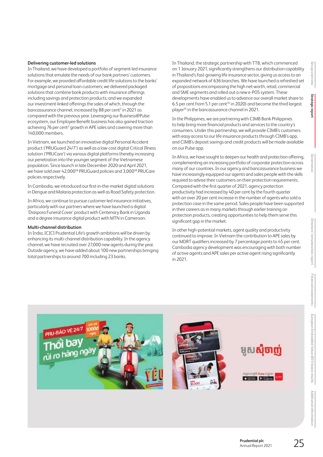#### **Delivering customer-led solutions**

In Thailand, we have developed a portfolio of segment-led insurance solutions that emulate the needs of our bank partners' customers. For example, we provided affordable credit life solutions to the banks' mortgage and personal loan customers; we delivered packaged solutions that combine bank products with insurance offerings including savings and protection products; and we expanded our investment-linked offerings the sales of which, through the bancassurance channel, increased by 88 per cent<sup>2</sup> in 2021 as compared with the previous year. Leveraging our Business@Pulse ecosystem, our Employee Benefit business has also gained traction achieving 76 per cent<sup>2</sup> growth in APE sales and covering more than 140,000 members.

In Vietnam, we launched an innovative digital Personal Accident product ('PRUGuard 24/7') as well as a low-cost digital Critical Illness solution ('PRUCare') via various digital platforms thereby increasing our penetration into the younger segment of the Vietnamese population. Since launch in late December 2020 and April 2021, we have sold over 42,00038 PRUGuard policies and 3,00038 PRUCare policies respectively.

In Cambodia, we introduced our first-in-the-market digital solutions in Dengue and Malaria protection as well as Road Safety protection.

In Africa, we continue to pursue customer-led insurance initiatives, particularly with our partners where we have launched a digital 'Diaspora Funeral Cover' product with Centenary Bank in Uganda and a degree insurance digital product with MTN in Cameroon.

#### **Multi-channel distribution**

**PRU-BAO** 

<sub>ăng</sub> ngà

In India, ICICI Prudential Life's growth ambitions will be driven by enhancing its multi-channel distribution capability. In the agency channel, we have recruited over 27,000 new agents during the year. Outside agency, we have added about 100 new partnerships bringing total partnerships to around 700 including 23 banks.

In Thailand, the strategic partnership with TTB, which commenced on 1 January 2021, significantly strengthens our distribution capability in Thailand's fast-growing life insurance sector, giving us access to an expanded network of 636 branches. We have launched a refreshed set of propositions encompassing the high net-worth, retail, commercial and SME segments and rolled out a new e-POS system. These developments have enabled us to advance our overall market share to 6.5 per cent from 5.1 per cent<sup>35</sup> in 2020) and become the third largest player35 in the bancassurance channel in 2021.

In the Philippines, we are partnering with CIMB Bank Philippines to help bring more financial products and services to the country's consumers. Under this partnership, we will provide CIMB's customers with easy access to our life insurance products through CIMB's app, and CIMB's deposit savings and credit products will be made available on our Pulse app.

In Africa, we have sought to deepen our health and protection offering, complementing an increasing portfolio of corporate protection across many of our countries. In our agency and bancassurance business we have increasingly equipped our agents and sales people with the skills required to advise their customers on their protection requirements. Compared with the first quarter of 2021, agency protection productivity had increased by 40 per cent by the fourth quarter with an over 20 per cent increase in the number of agents who sold a protection case in the same period. Sales people have been supported in their careers as in many markets through earlier training on protection products, creating opportunities to help them serve this significant gap in the market.

In other high-potential markets, agent quality and productivity continued to improve. In Vietnam the contribution to APE sales by our MDRT qualifiers increased by 7 percentage points to 45 per cent. Cambodia agency development was encouraging with both number of active agents and APE sales per active agent rising significantly in 2021.

 $\epsilon$  man  $\beta$  is in

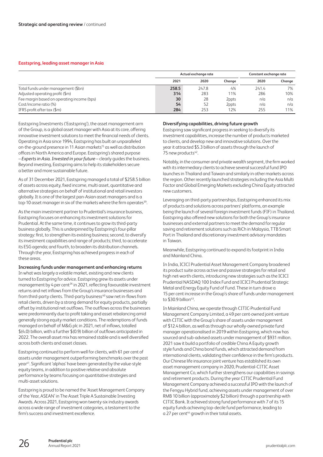#### **Eastspring, leading asset manager in Asia**

|                                            | Actual exchange rate |       |        | Constant exchange rate |        |
|--------------------------------------------|----------------------|-------|--------|------------------------|--------|
|                                            | 2021                 | 2020  | Chanae | 2020                   | Change |
| Total funds under management (\$bn)        | 258.5                | 247.8 | 4%     | 241.4                  | 7%     |
| Adjusted operating profit $(\$m)$          | 314                  | 283   | 11%    | 286                    | 10%    |
| Fee margin based on operating income (bps) | 30                   | 28    | 2ppts  | n/a                    | n/a    |
| Cost/income ratio (%)                      | 54                   | 52    | 2ppts  | n/a                    | n/a    |
| IFRS profit after tax $(\$m)$              | 284                  | 253   | 12%    | 255                    | 11%    |

Eastspring Investments ('Eastspring'), the asset management arm ofthe Group, is a global asset manager with Asia at its core, offering innovative investment solutions to meet the financial needs of clients. Operating in Asia since 1994, Eastspring has built an unparalleled on-the-ground presence in 11 Asian markets<sup>15</sup> as well as distribution offices in North America and Europe. Eastspring's shared purpose – *Experts in Asia. Invested in your future* – clearly guides the business. Beyond investing, Eastspring aims to help its stakeholders secure a better and more sustainable future.

As of 31 December 2021, Eastspring managed a total of \$258.5 billion of assets across equity, fixed income, multi asset, quantitative and alternative strategies on behalf of institutional and retail investors globally. It is one of the largest pan-Asian asset managers and is a top-10 asset manager in six of the markets where the firm operates<sup>39</sup>.

As the main investment partner to Prudential's insurance business, Eastspring focuses on enhancing its investment solutions for Prudential. At the same time, it continues to grow its third-party business globally. This is underpinned by Eastspring's four-pillar strategy: first, to strengthen its existing business; second, to diversify its investment capabilities and range of products; third, to accelerate its ESG agenda; and fourth, to broaden its distribution channels. Through the year, Eastspring has achieved progress in each of these areas.

**Increasing funds under management and enhancing returns** In what was largely a volatile market, existing and new clients turned to Eastspring for advice. Eastspring grew its assets under management by 4 per cent<sup>26</sup> in 2021, reflecting favourable investment returns and net inflows from the Group's insurance businesses and from third-party clients. Third-party business<sup>40</sup> saw net in-flows from retail clients, driven by a strong demand for equity products, partially offset by institutional net outflows. The outflows across the businesses were predominantly due to profit taking and asset rebalancing amid generally strong equity market conditions. The redemptions of funds managed on behalf of M&G plc in 2021, net of inflows, totalled \$(4.0) billion, with a further \$(0.9) billion of outflows anticipated in 2022. The overall asset mix hasremained stable and is well diversified across both clients and asset classes.

Eastspring continued to perform well for clients, with 61 per cent of assets under management outperforming benchmarks over the past year<sup>41</sup>. Significant 'alphas' have been generated by the value-style equity teams, in addition to positive relative and absolute performance by teams focusing on quantitative strategies and multi-asset solutions.

Eastspring is proud to be named the 'Asset Management Company of the Year, ASEAN' in The Asset Triple A Sustainable Investing Awards. Across 2021, Eastspring won twenty-six industry awards across a wide range of investment categories, a testament to the firm's success and investment excellence.

#### **Diversifying capabilities, driving future growth**

Eastspring saw significant progress in seeking to diversify its investment capabilities, increase the number of products marketed to clients, and develop new and innovative solutions. Over the year it attracted \$5.3 billion of assets through the launch of 75 new products<sup>42</sup>.

Notably, in the consumer and private wealth segment, the firm worked with its intermediary clients to achieve several successful fund IPO launches in Thailand and Taiwan and similarly in other markets across the region. Other recently launched strategies including the Asia Multi Factor and Global Emerging Markets excluding China Equity attracted new customers.

Leveraging on third-party partnerships, Eastspring enhanced its mix of products and solutions across partners' platforms, an example being the launch of several foreign investment funds (FIF) in Thailand. Eastspring also offered new solutions for both the Group's insurance businesses and external partners to meet the demand for regular saving and retirement solutions such as RiCh in Malaysia, TTB Smart Port in Thailand and discretionary investment advisory mandates in Taiwan.

Meanwhile, Eastspring continued to expand its footprint in India and Mainland China.

In India, ICICI Prudential Asset Management Company broadened its product suite across active and passive strategies for retail and high net-worth clients, introducing new strategies such as the ICICI Prudential NASDAQ 100 Index Fund and ICICI Prudential Strategic Metal and Energy Equity Fund of Fund. These in turn drove a 15 per cent increase in the Group's share of funds under management to  $$30.9$  billion<sup>43</sup>.

In Mainland China, we operate through CITIC-Prudential Fund Management Company Limited, a 49 per cent-owned joint venture with CITIC with the Group's share of assets under management of \$12.4 billion, as well as through our wholly-owned private fund manager operationalised in 2019 within Eastspring, which now has sourced and sub-advised assets under management of \$931 million. 2021 saw it build a portfolio of credible China A Equity growth style funds and China bond funds, which attracted demand from international clients, validating their confidence in the firm's products. Our Chinese life insurance joint venture has established its own asset management company in 2020, Prudential-CITIC Asset Management Co, which further strengthens our capabilities in savings and retirement products. During the year CITIC Prudential Fund Management Company achieved a successful IPO with the launch of the Fengyu Hybrid fund, achieving assets under management of over RMB 10 billion (approximately \$2 billion) through a partnership with CITIC Bank. It achieved strong fund performance with 7 of its 15 equity funds achieving top-decile fund performance, leading to  $a$  27 per cent<sup>44</sup> growth in their total assets.